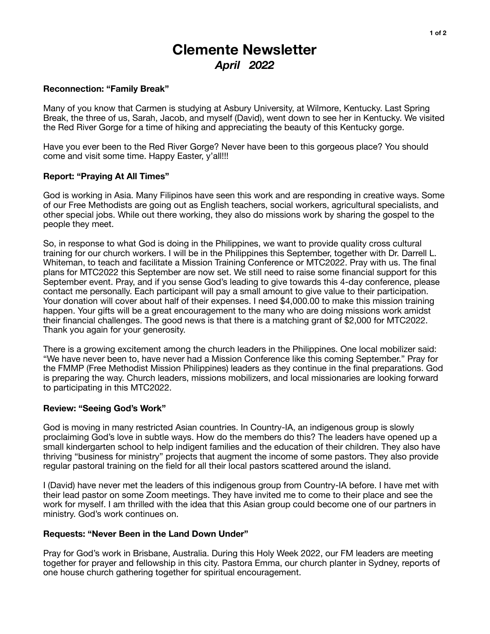# **Clemente Newsletter**  *April 2022*

## **Reconnection: "Family Break"**

Many of you know that Carmen is studying at Asbury University, at Wilmore, Kentucky. Last Spring Break, the three of us, Sarah, Jacob, and myself (David), went down to see her in Kentucky. We visited the Red River Gorge for a time of hiking and appreciating the beauty of this Kentucky gorge.

Have you ever been to the Red River Gorge? Never have been to this gorgeous place? You should come and visit some time. Happy Easter, y'all!!!

### **Report: "Praying At All Times"**

God is working in Asia. Many Filipinos have seen this work and are responding in creative ways. Some of our Free Methodists are going out as English teachers, social workers, agricultural specialists, and other special jobs. While out there working, they also do missions work by sharing the gospel to the people they meet.

So, in response to what God is doing in the Philippines, we want to provide quality cross cultural training for our church workers. I will be in the Philippines this September, together with Dr. Darrell L. Whiteman, to teach and facilitate a Mission Training Conference or MTC2022. Pray with us. The final plans for MTC2022 this September are now set. We still need to raise some financial support for this September event. Pray, and if you sense God's leading to give towards this 4-day conference, please contact me personally. Each participant will pay a small amount to give value to their participation. Your donation will cover about half of their expenses. I need \$4,000.00 to make this mission training happen. Your gifts will be a great encouragement to the many who are doing missions work amidst their financial challenges. The good news is that there is a matching grant of \$2,000 for MTC2022. Thank you again for your generosity.

There is a growing excitement among the church leaders in the Philippines. One local mobilizer said: "We have never been to, have never had a Mission Conference like this coming September." Pray for the FMMP (Free Methodist Mission Philippines) leaders as they continue in the final preparations. God is preparing the way. Church leaders, missions mobilizers, and local missionaries are looking forward to participating in this MTC2022.

#### **Review: "Seeing God's Work"**

God is moving in many restricted Asian countries. In Country-IA, an indigenous group is slowly proclaiming God's love in subtle ways. How do the members do this? The leaders have opened up a small kindergarten school to help indigent families and the education of their children. They also have thriving "business for ministry" projects that augment the income of some pastors. They also provide regular pastoral training on the field for all their local pastors scattered around the island.

I (David) have never met the leaders of this indigenous group from Country-IA before. I have met with their lead pastor on some Zoom meetings. They have invited me to come to their place and see the work for myself. I am thrilled with the idea that this Asian group could become one of our partners in ministry. God's work continues on.

#### **Requests: "Never Been in the Land Down Under"**

Pray for God's work in Brisbane, Australia. During this Holy Week 2022, our FM leaders are meeting together for prayer and fellowship in this city. Pastora Emma, our church planter in Sydney, reports of one house church gathering together for spiritual encouragement.